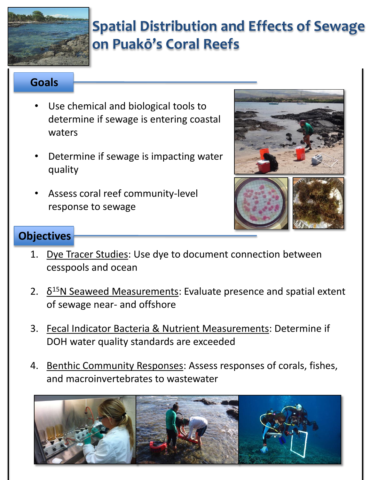

# **[S](http://www.google.com/url?sa=i&rct=j&q=&esrc=s&source=images&cd=&cad=rja&uact=8&docid=miZsiGwnvAongM&tbnid=0FUOwGz7cRvCdM:&ved=0CAUQjRw&url=http://www.hawaiioceanfront.com/Hale-Uluwehi.asp&ei=84qkU_OENs74oASEsYHQCw&bvm=bv.69411363,d.cGU&psig=AFQjCNG0WJ5cMQa1M7Yn9DQWnbDAXVWwpA&ust=1403378536827297)patial Distribution and Effects of Sewage on Puakō's Coral Reefs**

## **Goals**

- Use chemical and biological tools to determine if sewage is entering coastal waters
- Determine if sewage is impacting water quality
- Assess coral reef community-level response to sewage



# **Objectives**

- 1. Dye Tracer Studies: Use dye to document connection between cesspools and ocean
- 2.  $\delta^{15}$ N Seaweed Measurements: Evaluate presence and spatial extent of sewage near- and offshore
- 3. Fecal Indicator Bacteria & Nutrient Measurements: Determine if DOH water quality standards are exceeded
- 4. Benthic Community Responses: Assess responses of corals, fishes, and macroinvertebrates to wastewater